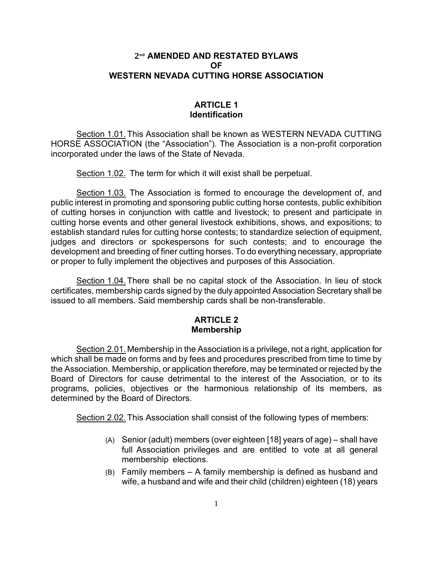# 2nd **AMENDED AND RESTATED BYLAWS OF WESTERN NEVADA CUTTING HORSE ASSOCIATION**

# **ARTICLE 1 Identification**

Section 1.01.This Association shall be known as WESTERN NEVADA CUTTING HORSE ASSOCIATION (the "Association"). The Association is a non-profit corporation incorporated under the laws of the State of Nevada.

Section 1.02. The term for which it will exist shall be perpetual.

Section 1.03. The Association is formed to encourage the development of, and public interest in promoting and sponsoring public cutting horse contests, public exhibition of cutting horses in conjunction with cattle and livestock; to present and participate in cutting horse events and other general livestock exhibitions, shows, and expositions; to establish standard rules for cutting horse contests; to standardize selection of equipment, judges and directors or spokespersons for such contests; and to encourage the development and breeding of finer cutting horses. To do everything necessary, appropriate or proper to fully implement the objectives and purposes of this Association.

Section 1.04.There shall be no capital stock of the Association. In lieu of stock certificates, membership cards signed by the duly appointed Association Secretary shall be issued to all members. Said membership cards shall be non-transferable.

# **ARTICLE 2 Membership**

Section 2.01. Membership in the Association is a privilege, not a right, application for which shall be made on forms and by fees and procedures prescribed from time to time by the Association. Membership, or application therefore, may be terminated or rejected by the Board of Directors for cause detrimental to the interest of the Association, or to its programs, policies, objectives or the harmonious relationship of its members, as determined by the Board of Directors.

Section 2.02.This Association shall consist of the following types of members:

- (A) Senior (adult) members (over eighteen [18] years of age) shall have full Association privileges and are entitled to vote at all general membership elections.
- (B) Family members A family membership is defined as husband and wife, a husband and wife and their child (children) eighteen (18) years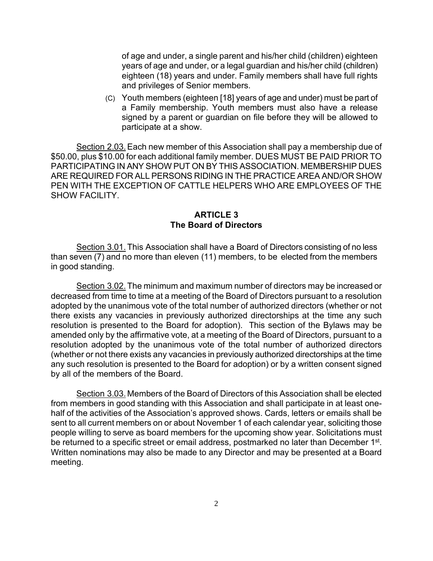of age and under, a single parent and his/her child (children) eighteen years of age and under, or a legal guardian and his/her child (children) eighteen (18) years and under. Family members shall have full rights and privileges of Senior members.

(C) Youth members (eighteen [18] years of age and under) must be part of a Family membership. Youth members must also have a release signed by a parent or guardian on file before they will be allowed to participate at a show.

Section 2.03. Each new member of this Association shall pay a membership due of \$50.00, plus \$10.00 for each additional family member. DUES MUST BE PAID PRIOR TO PARTICIPATING IN ANY SHOW PUT ON BY THIS ASSOCIATION. MEMBERSHIP DUES ARE REQUIRED FOR ALL PERSONS RIDING IN THE PRACTICE AREA AND/OR SHOW PEN WITH THE EXCEPTION OF CATTLE HELPERS WHO ARE EMPLOYEES OF THE SHOW FACILITY.

#### **ARTICLE 3 The Board of Directors**

Section 3.01. This Association shall have a Board of Directors consisting of no less than seven (7) and no more than eleven (11) members, to be elected from the members in good standing.

Section 3.02. The minimum and maximum number of directors may be increased or decreased from time to time at a meeting of the Board of Directors pursuant to a resolution adopted by the unanimous vote of the total number of authorized directors (whether or not there exists any vacancies in previously authorized directorships at the time any such resolution is presented to the Board for adoption). This section of the Bylaws may be amended only by the affirmative vote, at a meeting of the Board of Directors, pursuant to a resolution adopted by the unanimous vote of the total number of authorized directors (whether or not there exists any vacancies in previously authorized directorships at the time any such resolution is presented to the Board for adoption) or by a written consent signed by all of the members of the Board.

Section 3.03. Members of the Board of Directors of this Association shall be elected from members in good standing with this Association and shall participate in at least onehalf of the activities of the Association's approved shows. Cards, letters or emails shall be sent to all current members on or about November 1 of each calendar year, soliciting those people willing to serve as board members for the upcoming show year. Solicitations must be returned to a specific street or email address, postmarked no later than December 1<sup>st</sup>. Written nominations may also be made to any Director and may be presented at a Board meeting.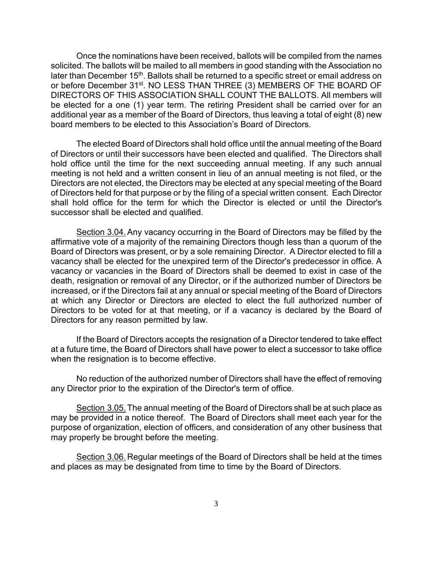Once the nominations have been received, ballots will be compiled from the names solicited. The ballots will be mailed to all members in good standing with the Association no later than December 15<sup>th</sup>. Ballots shall be returned to a specific street or email address on or before December 31<sup>st</sup>. NO LESS THAN THREE (3) MEMBERS OF THE BOARD OF DIRECTORS OF THIS ASSOCIATION SHALL COUNT THE BALLOTS. All members will be elected for a one (1) year term. The retiring President shall be carried over for an additional year as a member of the Board of Directors, thus leaving a total of eight (8) new board members to be elected to this Association's Board of Directors.

The elected Board of Directors shall hold office until the annual meeting of the Board of Directors or until their successors have been elected and qualified. The Directors shall hold office until the time for the next succeeding annual meeting. If any such annual meeting is not held and a written consent in lieu of an annual meeting is not filed, or the Directors are not elected, the Directors may be elected at any special meeting of the Board of Directors held for that purpose or by the filing of a special written consent. Each Director shall hold office for the term for which the Director is elected or until the Director's successor shall be elected and qualified.

Section 3.04.Any vacancy occurring in the Board of Directors may be filled by the affirmative vote of a majority of the remaining Directors though less than a quorum of the Board of Directors was present, or by a sole remaining Director. A Director elected to fill a vacancy shall be elected for the unexpired term of the Director's predecessor in office. A vacancy or vacancies in the Board of Directors shall be deemed to exist in case of the death, resignation or removal of any Director, or if the authorized number of Directors be increased, or if the Directors fail at any annual or special meeting of the Board of Directors at which any Director or Directors are elected to elect the full authorized number of Directors to be voted for at that meeting, or if a vacancy is declared by the Board of Directors for any reason permitted by law.

If the Board of Directors accepts the resignation of a Director tendered to take effect at a future time, the Board of Directors shall have power to elect a successor to take office when the resignation is to become effective.

No reduction of the authorized number of Directors shall have the effect of removing any Director prior to the expiration of the Director's term of office.

Section 3.05.The annual meeting of the Board of Directors shall be at such place as may be provided in a notice thereof. The Board of Directors shall meet each year for the purpose of organization, election of officers, and consideration of any other business that may properly be brought before the meeting.

Section 3.06. Regular meetings of the Board of Directors shall be held at the times and places as may be designated from time to time by the Board of Directors.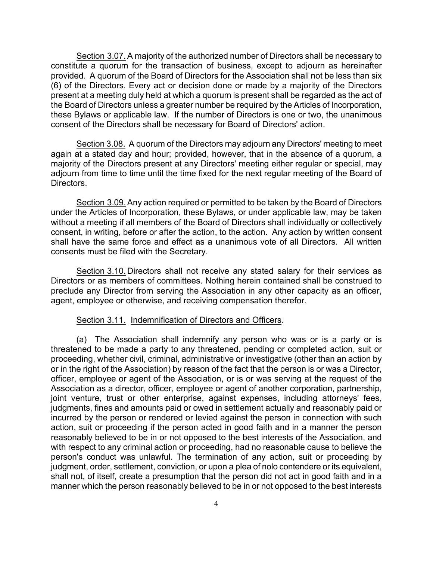Section 3.07.A majority of the authorized number of Directors shall be necessary to constitute a quorum for the transaction of business, except to adjourn as hereinafter provided. A quorum of the Board of Directors for the Association shall not be less than six (6) of the Directors. Every act or decision done or made by a majority of the Directors present at a meeting duly held at which a quorum is present shall be regarded as the act of the Board of Directors unless a greater number be required by the Articles of Incorporation, these Bylaws or applicable law. If the number of Directors is one or two, the unanimous consent of the Directors shall be necessary for Board of Directors' action.

Section 3.08. A quorum of the Directors may adjourn any Directors' meeting to meet again at a stated day and hour; provided, however, that in the absence of a quorum, a majority of the Directors present at any Directors' meeting either regular or special, may adjourn from time to time until the time fixed for the next regular meeting of the Board of Directors.

Section 3.09.Any action required or permitted to be taken by the Board of Directors under the Articles of Incorporation, these Bylaws, or under applicable law, may be taken without a meeting if all members of the Board of Directors shall individually or collectively consent, in writing, before or after the action, to the action. Any action by written consent shall have the same force and effect as a unanimous vote of all Directors. All written consents must be filed with the Secretary.

Section 3.10. Directors shall not receive any stated salary for their services as Directors or as members of committees. Nothing herein contained shall be construed to preclude any Director from serving the Association in any other capacity as an officer, agent, employee or otherwise, and receiving compensation therefor.

#### Section 3.11. Indemnification of Directors and Officers.

(a) The Association shall indemnify any person who was or is a party or is threatened to be made a party to any threatened, pending or completed action, suit or proceeding, whether civil, criminal, administrative or investigative (other than an action by or in the right of the Association) by reason of the fact that the person is or was a Director, officer, employee or agent of the Association, or is or was serving at the request of the Association as a director, officer, employee or agent of another corporation, partnership, joint venture, trust or other enterprise, against expenses, including attorneys' fees, judgments, fines and amounts paid or owed in settlement actually and reasonably paid or incurred by the person or rendered or levied against the person in connection with such action, suit or proceeding if the person acted in good faith and in a manner the person reasonably believed to be in or not opposed to the best interests of the Association, and with respect to any criminal action or proceeding, had no reasonable cause to believe the person's conduct was unlawful. The termination of any action, suit or proceeding by judgment, order, settlement, conviction, or upon a plea of nolo contendere or its equivalent, shall not, of itself, create a presumption that the person did not act in good faith and in a manner which the person reasonably believed to be in or not opposed to the best interests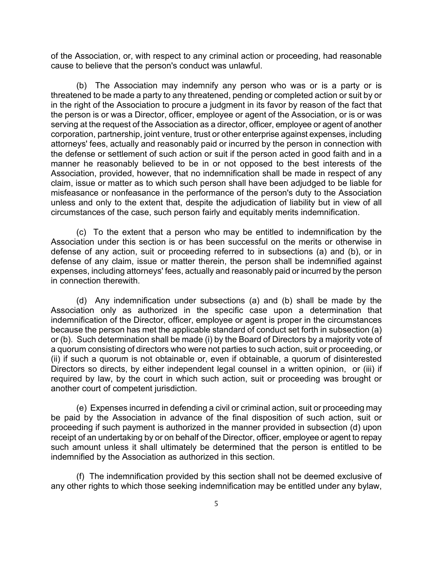of the Association, or, with respect to any criminal action or proceeding, had reasonable cause to believe that the person's conduct was unlawful.

(b) The Association may indemnify any person who was or is a party or is threatened to be made a party to any threatened, pending or completed action or suit by or in the right of the Association to procure a judgment in its favor by reason of the fact that the person is or was a Director, officer, employee or agent of the Association, or is or was serving at the request of the Association as a director, officer, employee or agent of another corporation, partnership, joint venture, trust or other enterprise against expenses, including attorneys' fees, actually and reasonably paid or incurred by the person in connection with the defense or settlement of such action or suit if the person acted in good faith and in a manner he reasonably believed to be in or not opposed to the best interests of the Association, provided, however, that no indemnification shall be made in respect of any claim, issue or matter as to which such person shall have been adjudged to be liable for misfeasance or nonfeasance in the performance of the person's duty to the Association unless and only to the extent that, despite the adjudication of liability but in view of all circumstances of the case, such person fairly and equitably merits indemnification.

(c) To the extent that a person who may be entitled to indemnification by the Association under this section is or has been successful on the merits or otherwise in defense of any action, suit or proceeding referred to in subsections (a) and (b), or in defense of any claim, issue or matter therein, the person shall be indemnified against expenses, including attorneys' fees, actually and reasonably paid or incurred by the person in connection therewith.

(d) Any indemnification under subsections (a) and (b) shall be made by the Association only as authorized in the specific case upon a determination that indemnification of the Director, officer, employee or agent is proper in the circumstances because the person has met the applicable standard of conduct set forth in subsection (a) or (b). Such determination shall be made (i) by the Board of Directors by a majority vote of a quorum consisting of directors who were not parties to such action, suit or proceeding, or (ii) if such a quorum is not obtainable or, even if obtainable, a quorum of disinterested Directors so directs, by either independent legal counsel in a written opinion, or (iii) if required by law, by the court in which such action, suit or proceeding was brought or another court of competent jurisdiction.

(e) Expenses incurred in defending a civil or criminal action, suit or proceeding may be paid by the Association in advance of the final disposition of such action, suit or proceeding if such payment is authorized in the manner provided in subsection (d) upon receipt of an undertaking by or on behalf of the Director, officer, employee or agent to repay such amount unless it shall ultimately be determined that the person is entitled to be indemnified by the Association as authorized in this section.

(f) The indemnification provided by this section shall not be deemed exclusive of any other rights to which those seeking indemnification may be entitled under any bylaw,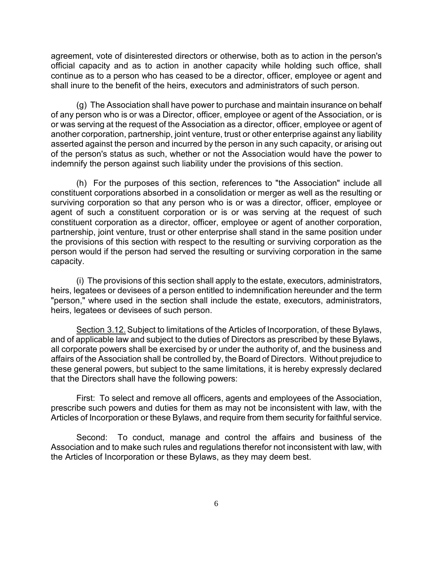agreement, vote of disinterested directors or otherwise, both as to action in the person's official capacity and as to action in another capacity while holding such office, shall continue as to a person who has ceased to be a director, officer, employee or agent and shall inure to the benefit of the heirs, executors and administrators of such person.

(g) The Association shall have power to purchase and maintain insurance on behalf of any person who is or was a Director, officer, employee or agent of the Association, or is or was serving at the request of the Association as a director, officer, employee or agent of another corporation, partnership, joint venture, trust or other enterprise against any liability asserted against the person and incurred by the person in any such capacity, or arising out of the person's status as such, whether or not the Association would have the power to indemnify the person against such liability under the provisions of this section.

(h) For the purposes of this section, references to "the Association" include all constituent corporations absorbed in a consolidation or merger as well as the resulting or surviving corporation so that any person who is or was a director, officer, employee or agent of such a constituent corporation or is or was serving at the request of such constituent corporation as a director, officer, employee or agent of another corporation, partnership, joint venture, trust or other enterprise shall stand in the same position under the provisions of this section with respect to the resulting or surviving corporation as the person would if the person had served the resulting or surviving corporation in the same capacity.

(i) The provisions of this section shall apply to the estate, executors, administrators, heirs, legatees or devisees of a person entitled to indemnification hereunder and the term "person," where used in the section shall include the estate, executors, administrators, heirs, legatees or devisees of such person.

Section 3.12.Subject to limitations of the Articles of Incorporation, of these Bylaws, and of applicable law and subject to the duties of Directors as prescribed by these Bylaws, all corporate powers shall be exercised by or under the authority of, and the business and affairs of the Association shall be controlled by, the Board of Directors. Without prejudice to these general powers, but subject to the same limitations, it is hereby expressly declared that the Directors shall have the following powers:

First: To select and remove all officers, agents and employees of the Association, prescribe such powers and duties for them as may not be inconsistent with law, with the Articles of Incorporation or these Bylaws, and require from them security for faithful service.

Second: To conduct, manage and control the affairs and business of the Association and to make such rules and regulations therefor not inconsistent with law, with the Articles of Incorporation or these Bylaws, as they may deem best.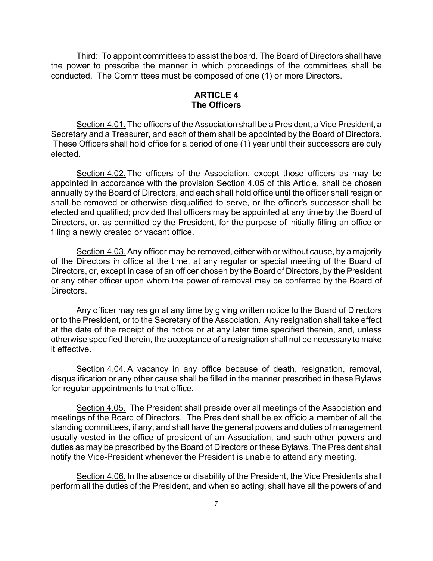Third: To appoint committees to assist the board. The Board of Directors shall have the power to prescribe the manner in which proceedings of the committees shall be conducted. The Committees must be composed of one (1) or more Directors.

## **ARTICLE 4 The Officers**

Section 4.01. The officers of the Association shall be a President, a Vice President, a Secretary and a Treasurer, and each of them shall be appointed by the Board of Directors. These Officers shall hold office for a period of one (1) year until their successors are duly elected.

Section 4.02.The officers of the Association, except those officers as may be appointed in accordance with the provision Section 4.05 of this Article, shall be chosen annually by the Board of Directors, and each shall hold office until the officer shall resign or shall be removed or otherwise disqualified to serve, or the officer's successor shall be elected and qualified; provided that officers may be appointed at any time by the Board of Directors, or, as permitted by the President, for the purpose of initially filling an office or filling a newly created or vacant office.

Section 4.03.Any officer may be removed, either with or without cause, by a majority of the Directors in office at the time, at any regular or special meeting of the Board of Directors, or, except in case of an officer chosen by the Board of Directors, by the President or any other officer upon whom the power of removal may be conferred by the Board of Directors.

Any officer may resign at any time by giving written notice to the Board of Directors or to the President, or to the Secretary of the Association. Any resignation shall take effect at the date of the receipt of the notice or at any later time specified therein, and, unless otherwise specified therein, the acceptance of a resignation shall not be necessary to make it effective.

Section 4.04. A vacancy in any office because of death, resignation, removal, disqualification or any other cause shall be filled in the manner prescribed in these Bylaws for regular appointments to that office.

Section 4.05. The President shall preside over all meetings of the Association and meetings of the Board of Directors. The President shall be ex officio a member of all the standing committees, if any, and shall have the general powers and duties of management usually vested in the office of president of an Association, and such other powers and duties as may be prescribed by the Board of Directors or these Bylaws. The President shall notify the Vice-President whenever the President is unable to attend any meeting.

Section 4.06. In the absence or disability of the President, the Vice Presidents shall perform all the duties of the President, and when so acting, shall have all the powers of and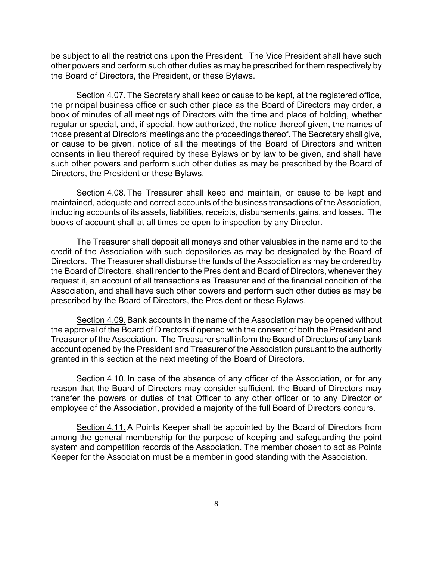be subject to all the restrictions upon the President. The Vice President shall have such other powers and perform such other duties as may be prescribed for them respectively by the Board of Directors, the President, or these Bylaws.

Section 4.07.The Secretary shall keep or cause to be kept, at the registered office, the principal business office or such other place as the Board of Directors may order, a book of minutes of all meetings of Directors with the time and place of holding, whether regular or special, and, if special, how authorized, the notice thereof given, the names of those present at Directors' meetings and the proceedings thereof. The Secretary shall give, or cause to be given, notice of all the meetings of the Board of Directors and written consents in lieu thereof required by these Bylaws or by law to be given, and shall have such other powers and perform such other duties as may be prescribed by the Board of Directors, the President or these Bylaws.

Section 4.08. The Treasurer shall keep and maintain, or cause to be kept and maintained, adequate and correct accounts of the business transactions of the Association, including accounts of its assets, liabilities, receipts, disbursements, gains, and losses. The books of account shall at all times be open to inspection by any Director.

The Treasurer shall deposit all moneys and other valuables in the name and to the credit of the Association with such depositories as may be designated by the Board of Directors. The Treasurer shall disburse the funds of the Association as may be ordered by the Board of Directors, shall render to the President and Board of Directors, whenever they request it, an account of all transactions as Treasurer and of the financial condition of the Association, and shall have such other powers and perform such other duties as may be prescribed by the Board of Directors, the President or these Bylaws.

Section 4.09.Bank accounts in the name of the Association may be opened without the approval of the Board of Directors if opened with the consent of both the President and Treasurer of the Association. The Treasurer shall inform the Board of Directors of any bank account opened by the President and Treasurer of the Association pursuant to the authority granted in this section at the next meeting of the Board of Directors.

Section 4.10. In case of the absence of any officer of the Association, or for any reason that the Board of Directors may consider sufficient, the Board of Directors may transfer the powers or duties of that Officer to any other officer or to any Director or employee of the Association, provided a majority of the full Board of Directors concurs.

Section 4.11.A Points Keeper shall be appointed by the Board of Directors from among the general membership for the purpose of keeping and safeguarding the point system and competition records of the Association. The member chosen to act as Points Keeper for the Association must be a member in good standing with the Association.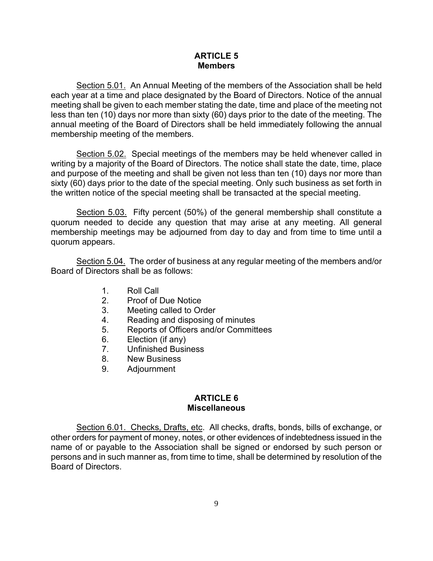# **ARTICLE 5 Members**

Section 5.01. An Annual Meeting of the members of the Association shall be held each year at a time and place designated by the Board of Directors. Notice of the annual meeting shall be given to each member stating the date, time and place of the meeting not less than ten (10) days nor more than sixty (60) days prior to the date of the meeting. The annual meeting of the Board of Directors shall be held immediately following the annual membership meeting of the members.

Section 5.02. Special meetings of the members may be held whenever called in writing by a majority of the Board of Directors. The notice shall state the date, time, place and purpose of the meeting and shall be given not less than ten (10) days nor more than sixty (60) days prior to the date of the special meeting. Only such business as set forth in the written notice of the special meeting shall be transacted at the special meeting.

Section 5.03. Fifty percent (50%) of the general membership shall constitute a quorum needed to decide any question that may arise at any meeting. All general membership meetings may be adjourned from day to day and from time to time until a quorum appears.

Section 5.04. The order of business at any regular meeting of the members and/or Board of Directors shall be as follows:

- 1. Roll Call
- 2. Proof of Due Notice
- 3. Meeting called to Order
- 4. Reading and disposing of minutes
- 5. Reports of Officers and/or Committees
- 6. Election (if any)
- 7. Unfinished Business
- 8. New Business
- 9. Adjournment

# **ARTICLE 6 Miscellaneous**

Section 6.01. Checks, Drafts, etc. All checks, drafts, bonds, bills of exchange, or other orders for payment of money, notes, or other evidences of indebtedness issued in the name of or payable to the Association shall be signed or endorsed by such person or persons and in such manner as, from time to time, shall be determined by resolution of the Board of Directors.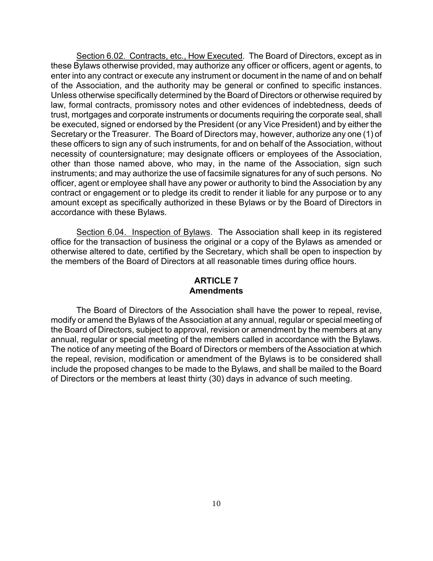Section 6.02. Contracts, etc., How Executed. The Board of Directors, except as in these Bylaws otherwise provided, may authorize any officer or officers, agent or agents, to enter into any contract or execute any instrument or document in the name of and on behalf of the Association, and the authority may be general or confined to specific instances. Unless otherwise specifically determined by the Board of Directors or otherwise required by law, formal contracts, promissory notes and other evidences of indebtedness, deeds of trust, mortgages and corporate instruments or documents requiring the corporate seal, shall be executed, signed or endorsed by the President (or any Vice President) and by either the Secretary or the Treasurer. The Board of Directors may, however, authorize any one (1) of these officers to sign any of such instruments, for and on behalf of the Association, without necessity of countersignature; may designate officers or employees of the Association, other than those named above, who may, in the name of the Association, sign such instruments; and may authorize the use of facsimile signatures for any of such persons. No officer, agent or employee shall have any power or authority to bind the Association by any contract or engagement or to pledge its credit to render it liable for any purpose or to any amount except as specifically authorized in these Bylaws or by the Board of Directors in accordance with these Bylaws.

Section 6.04. Inspection of Bylaws. The Association shall keep in its registered office for the transaction of business the original or a copy of the Bylaws as amended or otherwise altered to date, certified by the Secretary, which shall be open to inspection by the members of the Board of Directors at all reasonable times during office hours.

# **ARTICLE 7 Amendments**

The Board of Directors of the Association shall have the power to repeal, revise, modify or amend the Bylaws of the Association at any annual, regular or special meeting of the Board of Directors, subject to approval, revision or amendment by the members at any annual, regular or special meeting of the members called in accordance with the Bylaws. The notice of any meeting of the Board of Directors or members of the Association at which the repeal, revision, modification or amendment of the Bylaws is to be considered shall include the proposed changes to be made to the Bylaws, and shall be mailed to the Board of Directors or the members at least thirty (30) days in advance of such meeting.